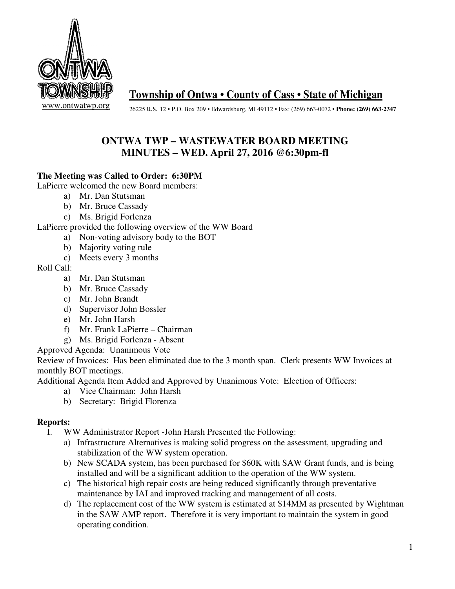

**Township of Ontwa • County of Cass • State of Michigan** 

26225 u.s. 12 • P.O. Box 209 • Edwardsburg, MI 49112 • Fax: (269) 663-0072 **• Phone: (269) 663-2347** 

# **ONTWA TWP – WASTEWATER BOARD MEETING MINUTES – WED. April 27, 2016 @6:30pm-fl**

## **The Meeting was Called to Order: 6:30PM**

LaPierre welcomed the new Board members:

- a) Mr. Dan Stutsman
- b) Mr. Bruce Cassady
- c) Ms. Brigid Forlenza

LaPierre provided the following overview of the WW Board

- a) Non-voting advisory body to the BOT
- b) Majority voting rule
- c) Meets every 3 months

Roll Call:

- a) Mr. Dan Stutsman
- b) Mr. Bruce Cassady
- c) Mr. John Brandt
- d) Supervisor John Bossler
- e) Mr. John Harsh
- f) Mr. Frank LaPierre Chairman
- g) Ms. Brigid Forlenza Absent

Approved Agenda: Unanimous Vote

Review of Invoices: Has been eliminated due to the 3 month span. Clerk presents WW Invoices at monthly BOT meetings.

Additional Agenda Item Added and Approved by Unanimous Vote: Election of Officers:

- a) Vice Chairman: John Harsh
- b) Secretary: Brigid Florenza

### **Reports:**

- I. WW Administrator Report -John Harsh Presented the Following:
	- a) Infrastructure Alternatives is making solid progress on the assessment, upgrading and stabilization of the WW system operation.
	- b) New SCADA system, has been purchased for \$60K with SAW Grant funds, and is being installed and will be a significant addition to the operation of the WW system.
	- c) The historical high repair costs are being reduced significantly through preventative maintenance by IAI and improved tracking and management of all costs.
	- d) The replacement cost of the WW system is estimated at \$14MM as presented by Wightman in the SAW AMP report. Therefore it is very important to maintain the system in good operating condition.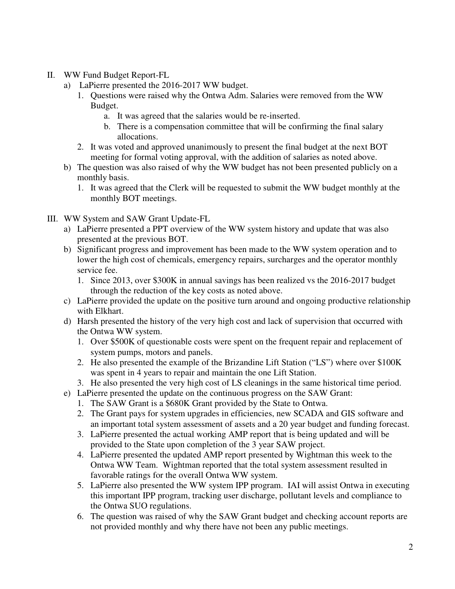- II. WW Fund Budget Report-FL
	- a) LaPierre presented the 2016-2017 WW budget.
		- 1. Questions were raised why the Ontwa Adm. Salaries were removed from the WW Budget.
			- a. It was agreed that the salaries would be re-inserted.
			- b. There is a compensation committee that will be confirming the final salary allocations.
		- 2. It was voted and approved unanimously to present the final budget at the next BOT meeting for formal voting approval, with the addition of salaries as noted above.
	- b) The question was also raised of why the WW budget has not been presented publicly on a monthly basis.
		- 1. It was agreed that the Clerk will be requested to submit the WW budget monthly at the monthly BOT meetings.
- III. WW System and SAW Grant Update-FL
	- a) LaPierre presented a PPT overview of the WW system history and update that was also presented at the previous BOT.
	- b) Significant progress and improvement has been made to the WW system operation and to lower the high cost of chemicals, emergency repairs, surcharges and the operator monthly service fee.
		- 1. Since 2013, over \$300K in annual savings has been realized vs the 2016-2017 budget through the reduction of the key costs as noted above.
	- c) LaPierre provided the update on the positive turn around and ongoing productive relationship with Elkhart.
	- d) Harsh presented the history of the very high cost and lack of supervision that occurred with the Ontwa WW system.
		- 1. Over \$500K of questionable costs were spent on the frequent repair and replacement of system pumps, motors and panels.
		- 2. He also presented the example of the Brizandine Lift Station ("LS") where over \$100K was spent in 4 years to repair and maintain the one Lift Station.
		- 3. He also presented the very high cost of LS cleanings in the same historical time period.
	- e) LaPierre presented the update on the continuous progress on the SAW Grant:
		- 1. The SAW Grant is a \$680K Grant provided by the State to Ontwa.
		- 2. The Grant pays for system upgrades in efficiencies, new SCADA and GIS software and an important total system assessment of assets and a 20 year budget and funding forecast.
		- 3. LaPierre presented the actual working AMP report that is being updated and will be provided to the State upon completion of the 3 year SAW project.
		- 4. LaPierre presented the updated AMP report presented by Wightman this week to the Ontwa WW Team. Wightman reported that the total system assessment resulted in favorable ratings for the overall Ontwa WW system.
		- 5. LaPierre also presented the WW system IPP program. IAI will assist Ontwa in executing this important IPP program, tracking user discharge, pollutant levels and compliance to the Ontwa SUO regulations.
		- 6. The question was raised of why the SAW Grant budget and checking account reports are not provided monthly and why there have not been any public meetings.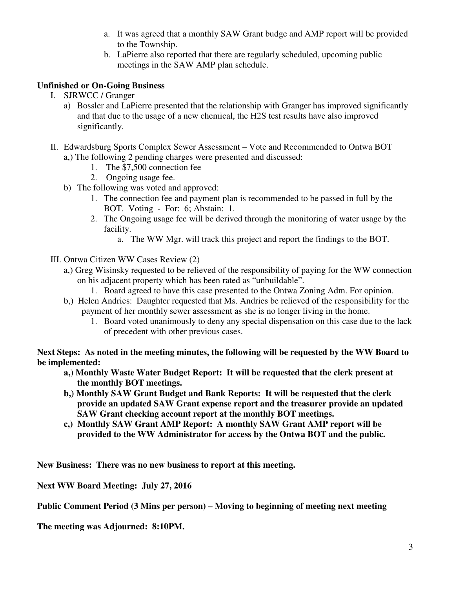- a. It was agreed that a monthly SAW Grant budge and AMP report will be provided to the Township.
- b. LaPierre also reported that there are regularly scheduled, upcoming public meetings in the SAW AMP plan schedule.

## **Unfinished or On-Going Business**

- I. SJRWCC / Granger
	- a) Bossler and LaPierre presented that the relationship with Granger has improved significantly and that due to the usage of a new chemical, the H2S test results have also improved significantly.
- II. Edwardsburg Sports Complex Sewer Assessment Vote and Recommended to Ontwa BOT a,) The following 2 pending charges were presented and discussed:
	- 1. The \$7,500 connection fee
	- 2. Ongoing usage fee.
	- b) The following was voted and approved:
		- 1. The connection fee and payment plan is recommended to be passed in full by the BOT. Voting - For: 6; Abstain: 1.
		- 2. The Ongoing usage fee will be derived through the monitoring of water usage by the facility.
			- a. The WW Mgr. will track this project and report the findings to the BOT.
- III. Ontwa Citizen WW Cases Review (2)
	- a,) Greg Wisinsky requested to be relieved of the responsibility of paying for the WW connection on his adjacent property which has been rated as "unbuildable".
		- 1. Board agreed to have this case presented to the Ontwa Zoning Adm. For opinion.
	- b,) Helen Andries: Daughter requested that Ms. Andries be relieved of the responsibility for the payment of her monthly sewer assessment as she is no longer living in the home.
		- 1. Board voted unanimously to deny any special dispensation on this case due to the lack of precedent with other previous cases.

**Next Steps: As noted in the meeting minutes, the following will be requested by the WW Board to be implemented:** 

- **a,) Monthly Waste Water Budget Report: It will be requested that the clerk present at the monthly BOT meetings.**
- **b,) Monthly SAW Grant Budget and Bank Reports: It will be requested that the clerk provide an updated SAW Grant expense report and the treasurer provide an updated SAW Grant checking account report at the monthly BOT meetings.**
- **c,) Monthly SAW Grant AMP Report: A monthly SAW Grant AMP report will be provided to the WW Administrator for access by the Ontwa BOT and the public.**

**New Business: There was no new business to report at this meeting.** 

**Next WW Board Meeting: July 27, 2016** 

**Public Comment Period (3 Mins per person) – Moving to beginning of meeting next meeting** 

**The meeting was Adjourned: 8:10PM.**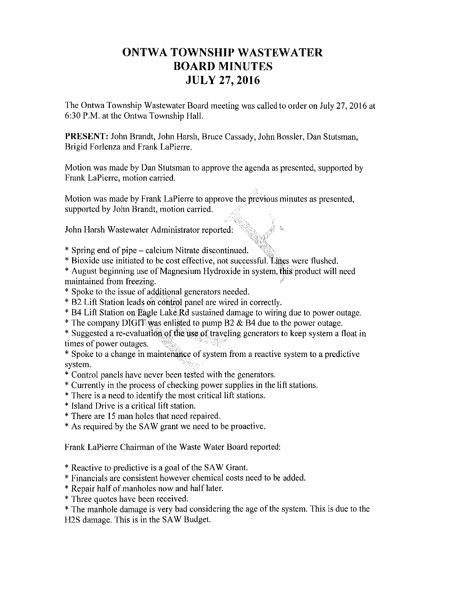# **ONTWA TOWNSHIP WASTEWATER BOARD MINUTES JULY 27, 2016**

The Ontwa Township Wastewater Board meeting was called to order on July 27, 2016 at 6:30 P.M. at the Ontwa Township Hall.

PRESENT: John Brandt, John Harsh, Bruce Cassady, John Bossler, Dan Stutsman, Brigid Forlenza and Frank LaPierre.

Motion was made by Dan Stutsman to approve the agenda as presented, supported by Frank LaPierre, motion carried.

Motion was made by Frank LaPierre to approve the previous minutes as presented, supported by John Brandt, motion carried.

John Harsh Wastewater Administrator reported:

- \* Spring end of pipe calcium Nitrate discontinued.
- \* Bioxide use initiated to be cost effective, not successful. Lines were flushed.
- \* August beginning use of Magnesium Hydroxide in system, this product will need maintained from freezing.
- \* Spoke to the issue of additional generators needed.
- \* B2 Lift Station leads on control panel are wired in correctly.
- \* B4 Lift Station on Eagle Lake Rd sustained damage to wiring due to power outage.
- \* The company DIGIT was enlisted to pump B2  $\&$  B4 due to the power outage.
- \* Suggested a re-evaluation of the use of traveling generators to keep system a float in times of power outages.
- \* Spoke to a change in maintenance of system from a reactive system to a predictive system.
- \* Control panels have never been tested with the generators.
- \* Currently in the process of checking power supplies in the lift stations.
- \* There is a need to identify the most critical lift stations.
- \* Island Drive is a critical lift station.
- \* There are 15 man holes that need repaired.
- \* As required by the SAW grant we need to be proactive.

Frank LaPierre Chairman of the Waste Water Board reported:

- \* Reactive to predictive is a goal of the SAW Grant.
- \* Financials are consistent however chemical costs need to be added.
- \* Repair half of manholes now and half later.
- \* Three quotes have been received.
- \* The manhole damage is very bad considering the age of the system. This is due to the H2S damage. This is in the SAW Budget.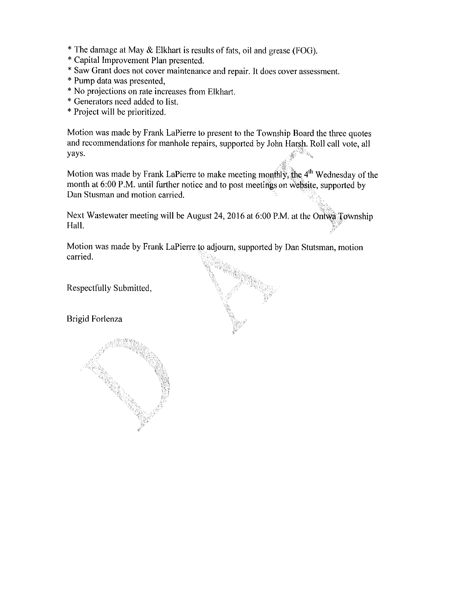- \* The damage at May & Elkhart is results of fats, oil and grease (FOG).
- \* Capital Improvement Plan presented.
- \* Saw Grant does not cover maintenance and repair. It does cover assessment.
- \* Pump data was presented,
- \* No projections on rate increases from Elkhart.
- \* Generators need added to list.
- \* Project will be prioritized.

Motion was made by Frank LaPierre to present to the Township Board the three quotes and recommendations for manhole repairs, supported by John Harsh. Roll call vote, all yays.  $\mathbb{R}_{\mathbb{Z}_{2n}}$ 

Motion was made by Frank LaPierre to make meeting monthly, the 4<sup>th</sup> Wednesday of the month at 6:00 P.M. until further notice and to post meetings on website, supported by Dan Stusman and motion carried.

Next Wastewater meeting will be August 24, 2016 at 6:00 P.M. at the Ontwa Township Hall.

Motion was made by Frank LaPierre to adjourn, supported by Dan Stutsman, motion carried.

Respectfully Submitted,

Brigid Forlenza

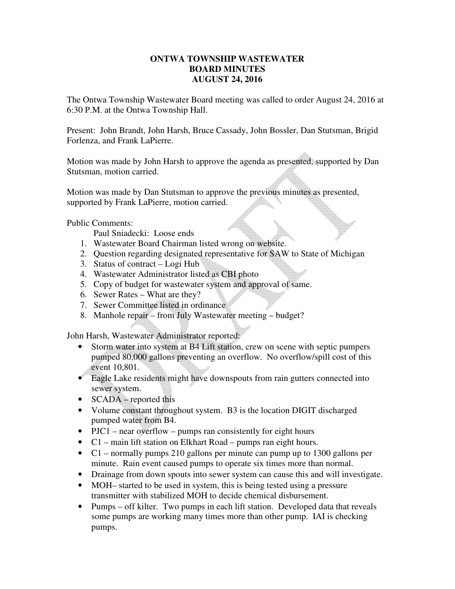### **ONTWA TOWNSHIP WASTEWATER BOARD MINUTES AUGUST 24, 2016**

The Ontwa Township Wastewater Board meeting was called to order August 24, 2016 at 6:30 P.M. at the Ontwa Township Hall.

Present: John Brandt, John Harsh, Bruce Cassady, John Bossler, Dan Stutsman, Brigid Forlenza, and Frank LaPierre.

Motion was made by John Harsh to approve the agenda as presented, supported by Dan Stutsman, motion carried.

Motion was made by Dan Stutsman to approve the previous minutes as presented, supported by Frank LaPierre, motion carried.

Public Comments:

Paul Sniadecki: Loose ends

- 1. Wastewater Board Chairman listed wrong on website.
- 2. Question regarding designated representative for SAW to State of Michigan
- 3. Status of contract Logi Hub
- 4. Wastewater Administrator listed as CBI photo
- 5. Copy of budget for wastewater system and approval of same.
- 6. Sewer Rates What are they?
- 7. Sewer Committee listed in ordinance
- 8. Manhole repair from July Wastewater meeting budget?

John Harsh, Wastewater Administrator reported:

- Storm water into system at B4 Lift station, crew on scene with septic pumpers pumped 80,000 gallons preventing an overflow. No overflow/spill cost of this event 10,801.
- Eagle Lake residents might have downspouts from rain gutters connected into sewer system.
- **SCADA** reported this
- Volume constant throughout system. B3 is the location DIGIT discharged pumped water from B4.
- PJC1 near overflow pumps ran consistently for eight hours
- C1 main lift station on Elkhart Road pumps ran eight hours.
- C1 normally pumps 210 gallons per minute can pump up to 1300 gallons per minute. Rain event caused pumps to operate six times more than normal.
- Drainage from down spouts into sewer system can cause this and will investigate.
- MOH– started to be used in system, this is being tested using a pressure transmitter with stabilized MOH to decide chemical disbursement.
- Pumps off kilter. Two pumps in each lift station. Developed data that reveals some pumps are working many times more than other pump. IAI is checking pumps.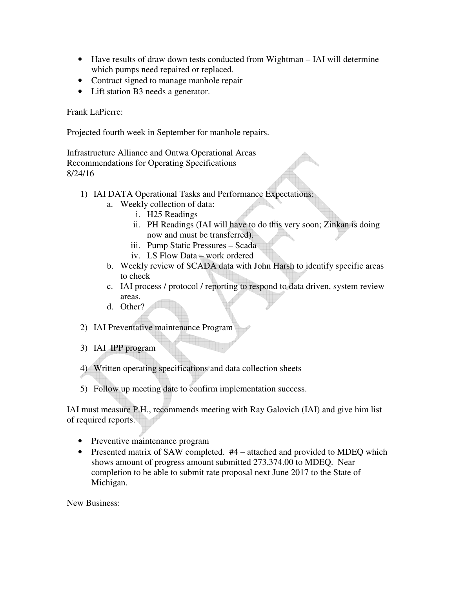- Have results of draw down tests conducted from Wightman IAI will determine which pumps need repaired or replaced.
- Contract signed to manage manhole repair
- Lift station B3 needs a generator.

Frank LaPierre:

Projected fourth week in September for manhole repairs.

Infrastructure Alliance and Ontwa Operational Areas Recommendations for Operating Specifications 8/24/16

- 1) IAI DATA Operational Tasks and Performance Expectations:
	- a. Weekly collection of data:
		- i. H25 Readings
		- ii. PH Readings (IAI will have to do this very soon; Zinkan is doing now and must be transferred).
		- iii. Pump Static Pressures Scada
		- iv. LS Flow Data work ordered
	- b. Weekly review of SCADA data with John Harsh to identify specific areas to check
	- c. IAI process / protocol / reporting to respond to data driven, system review areas.
	- d. Other?

2) IAI Preventative maintenance Program

3) IAI IPP program

4) Written operating specifications and data collection sheets

5) Follow up meeting date to confirm implementation success.

IAI must measure P.H., recommends meeting with Ray Galovich (IAI) and give him list of required reports.

- Preventive maintenance program
- Presented matrix of SAW completed. #4 attached and provided to MDEO which shows amount of progress amount submitted 273,374.00 to MDEQ. Near completion to be able to submit rate proposal next June 2017 to the State of Michigan.

New Business: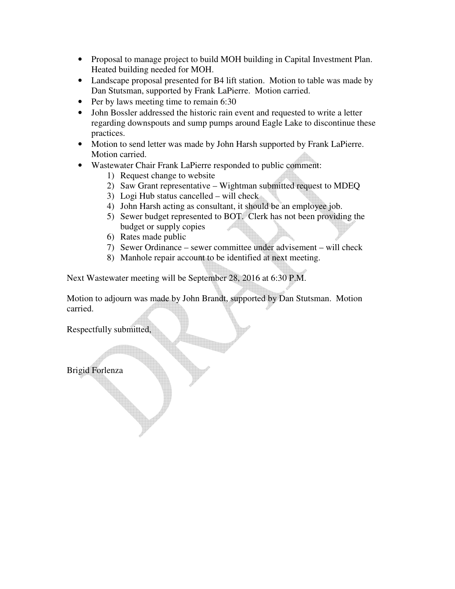- Proposal to manage project to build MOH building in Capital Investment Plan. Heated building needed for MOH.
- Landscape proposal presented for B4 lift station. Motion to table was made by Dan Stutsman, supported by Frank LaPierre. Motion carried.
- Per by laws meeting time to remain 6:30
- John Bossler addressed the historic rain event and requested to write a letter regarding downspouts and sump pumps around Eagle Lake to discontinue these practices.
- Motion to send letter was made by John Harsh supported by Frank LaPierre. Motion carried.
- Wastewater Chair Frank LaPierre responded to public comment:
	- 1) Request change to website
	- 2) Saw Grant representative Wightman submitted request to MDEQ
	- 3) Logi Hub status cancelled will check
	- 4) John Harsh acting as consultant, it should be an employee job.
	- 5) Sewer budget represented to BOT. Clerk has not been providing the budget or supply copies
	- 6) Rates made public
	- 7) Sewer Ordinance sewer committee under advisement will check
	- 8) Manhole repair account to be identified at next meeting.

Next Wastewater meeting will be September 28, 2016 at 6:30 P.M.

Motion to adjourn was made by John Brandt, supported by Dan Stutsman. Motion carried.

Respectfully submitted,

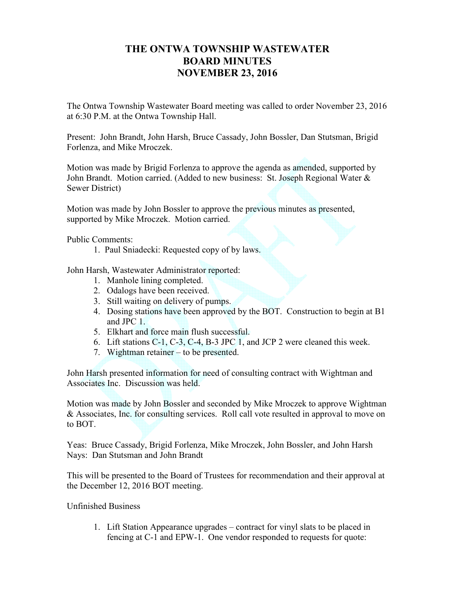## **THE ONTWA TOWNSHIP WASTEWATER BOARD MINUTES NOVEMBER 23, 2016**

The Ontwa Township Wastewater Board meeting was called to order November 23, 2016 at 6:30 P.M. at the Ontwa Township Hall.

Present: John Brandt, John Harsh, Bruce Cassady, John Bossler, Dan Stutsman, Brigid Forlenza, and Mike Mroczek.

Motion was made by Brigid Forlenza to approve the agenda as amended, supported by John Brandt. Motion carried. (Added to new business: St. Joseph Regional Water & Sewer District)

Motion was made by John Bossler to approve the previous minutes as presented, supported by Mike Mroczek. Motion carried.

Public Comments:

1. Paul Sniadecki: Requested copy of by laws.

John Harsh, Wastewater Administrator reported:

- 1. Manhole lining completed.
- 2. Odalogs have been received.
- 3. Still waiting on delivery of pumps.
- 4. Dosing stations have been approved by the BOT. Construction to begin at B1 and JPC 1.
- 5. Elkhart and force main flush successful.
- 6. Lift stations C-1, C-3, C-4, B-3 JPC 1, and JCP 2 were cleaned this week.
- 7. Wightman retainer to be presented.

John Harsh presented information for need of consulting contract with Wightman and Associates Inc. Discussion was held.

Motion was made by John Bossler and seconded by Mike Mroczek to approve Wightman & Associates, Inc. for consulting services. Roll call vote resulted in approval to move on to BOT.

Yeas: Bruce Cassady, Brigid Forlenza, Mike Mroczek, John Bossler, and John Harsh Nays: Dan Stutsman and John Brandt

This will be presented to the Board of Trustees for recommendation and their approval at the December 12, 2016 BOT meeting.

#### Unfinished Business

1. Lift Station Appearance upgrades – contract for vinyl slats to be placed in fencing at C-1 and EPW-1. One vendor responded to requests for quote: